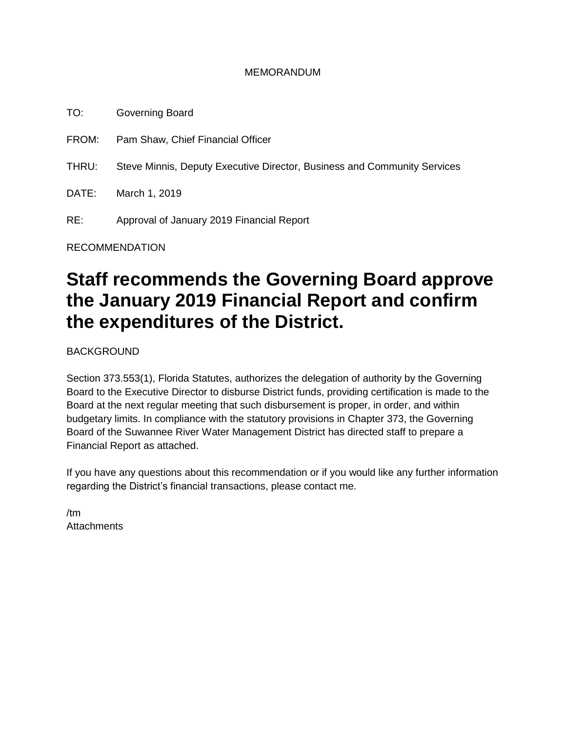#### MEMORANDUM

TO: Governing Board FROM: Pam Shaw, Chief Financial Officer THRU: Steve Minnis, Deputy Executive Director, Business and Community Services DATE: March 1, 2019 RE: Approval of January 2019 Financial Report

RECOMMENDATION

# **Staff recommends the Governing Board approve the January 2019 Financial Report and confirm the expenditures of the District.**

BACKGROUND

Section 373.553(1), Florida Statutes, authorizes the delegation of authority by the Governing Board to the Executive Director to disburse District funds, providing certification is made to the Board at the next regular meeting that such disbursement is proper, in order, and within budgetary limits. In compliance with the statutory provisions in Chapter 373, the Governing Board of the Suwannee River Water Management District has directed staff to prepare a Financial Report as attached.

If you have any questions about this recommendation or if you would like any further information regarding the District's financial transactions, please contact me.

/tm **Attachments**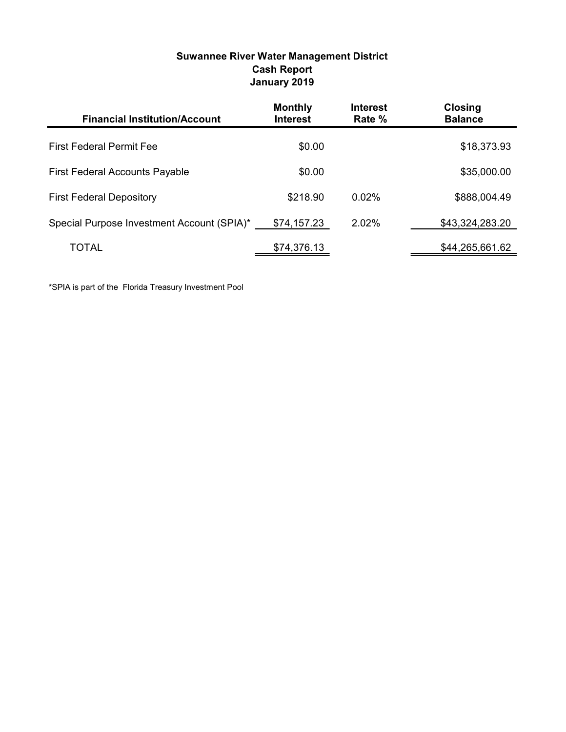| <b>Financial Institution/Account</b>       | <b>Monthly</b><br><b>Interest</b> | <b>Interest</b><br>Rate % | <b>Closing</b><br><b>Balance</b> |
|--------------------------------------------|-----------------------------------|---------------------------|----------------------------------|
| <b>First Federal Permit Fee</b>            | \$0.00                            |                           | \$18,373.93                      |
| <b>First Federal Accounts Payable</b>      | \$0.00                            |                           | \$35,000.00                      |
| <b>First Federal Depository</b>            | \$218.90                          | 0.02%                     | \$888,004.49                     |
| Special Purpose Investment Account (SPIA)* | \$74,157.23                       | 2.02%                     | \$43,324,283.20                  |
| TOTAL                                      | \$74,376.13                       |                           | \$44,265,661.62                  |

#### Suwannee River Water Management District Cash Report January 2019

\*SPIA is part of the Florida Treasury Investment Pool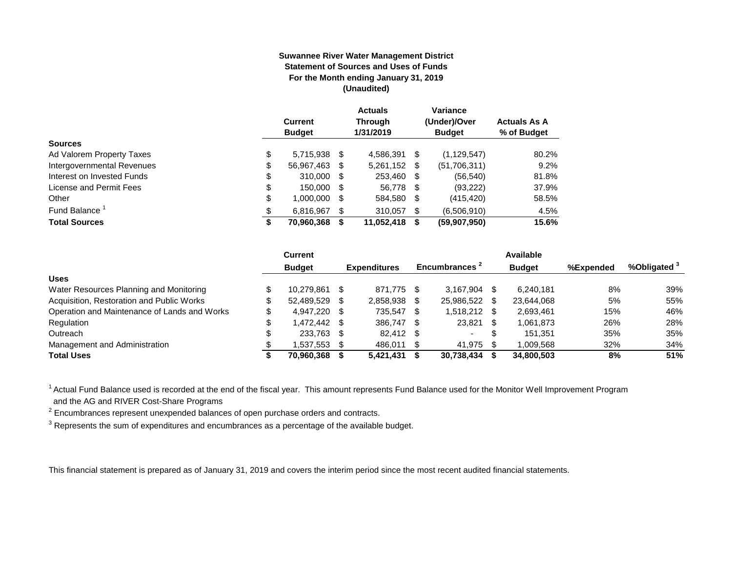#### **Suwannee River Water Management District Statement of Sources and Uses of Funds For the Month ending January 31, 2019 (Unaudited)**

|                                  | <b>Current</b><br><b>Budget</b> |   | <b>Actuals</b><br><b>Through</b><br>1/31/2019 |   | Variance<br>(Under)/Over<br><b>Budget</b> | <b>Actuals As A</b><br>% of Budget |
|----------------------------------|---------------------------------|---|-----------------------------------------------|---|-------------------------------------------|------------------------------------|
| <b>Sources</b>                   |                                 |   |                                               |   |                                           |                                    |
| \$<br>Ad Valorem Property Taxes  | 5,715,938 \$                    |   | 4,586,391 \$                                  |   | (1, 129, 547)                             | 80.2%                              |
| Intergovernmental Revenues<br>\$ | 56,967,463 \$                   |   | 5,261,152 \$                                  |   | (51,706,311)                              | 9.2%                               |
| \$<br>Interest on Invested Funds | 310,000 \$                      |   | 253,460 \$                                    |   | (56, 540)                                 | 81.8%                              |
| \$<br>License and Permit Fees    | 150,000 \$                      |   | 56.778 \$                                     |   | (93, 222)                                 | 37.9%                              |
| \$<br>Other                      | 1,000,000                       | S | 584,580 \$                                    |   | (415, 420)                                | 58.5%                              |
| Fund Balance<br>\$.              | 6.816.967                       |   | 310.057                                       | S | (6,506,910)                               | 4.5%                               |
| <b>Total Sources</b><br>\$       | 70,960,368                      |   | 11,052,418                                    | S | (59,907,950)                              | 15.6%                              |

|                                              | Current       |      |                     |      |                           |     | Available     |           |              |
|----------------------------------------------|---------------|------|---------------------|------|---------------------------|-----|---------------|-----------|--------------|
|                                              | <b>Budget</b> |      | <b>Expenditures</b> |      | Encumbrances <sup>2</sup> |     | <b>Budget</b> | %Expended | %Obligated ° |
| <b>Uses</b>                                  |               |      |                     |      |                           |     |               |           |              |
| Water Resources Planning and Monitoring      | 10.279.861    |      | 871.775             | - \$ | 3.167.904                 |     | 6.240.181     | 8%        | 39%          |
| Acquisition, Restoration and Public Works    | 52.489.529    | - \$ | 2,858,938           |      | 25,986,522                | \$. | 23,644,068    | 5%        | 55%          |
| Operation and Maintenance of Lands and Works | 4.947.220 \$  |      | 735.547             | -S   | 1,518,212                 | \$. | 2,693,461     | 15%       | 46%          |
| Regulation                                   | \$ 472.442.   |      | 386,747             | - \$ | 23,821                    | \$  | 1,061,873     | 26%       | 28%          |
| Outreach                                     | 233,763       | - \$ | 82,412              | - \$ | $\overline{\phantom{0}}$  | S   | 151.351       | 35%       | 35%          |
| Management and Administration                | .537.553      |      | 486.011             |      | 41.975                    |     | 009.568       | 32%       | 34%          |
| <b>Total Uses</b>                            | 70,960,368    |      | 5,421,431           |      | 30,738,434                |     | 34.800.503    | 8%        | 51%          |

<sup>1</sup> Actual Fund Balance used is recorded at the end of the fiscal year. This amount represents Fund Balance used for the Monitor Well Improvement Program and the AG and RIVER Cost-Share Programs

 $2$  Encumbrances represent unexpended balances of open purchase orders and contracts.

 $3$  Represents the sum of expenditures and encumbrances as a percentage of the available budget.

This financial statement is prepared as of January 31, 2019 and covers the interim period since the most recent audited financial statements.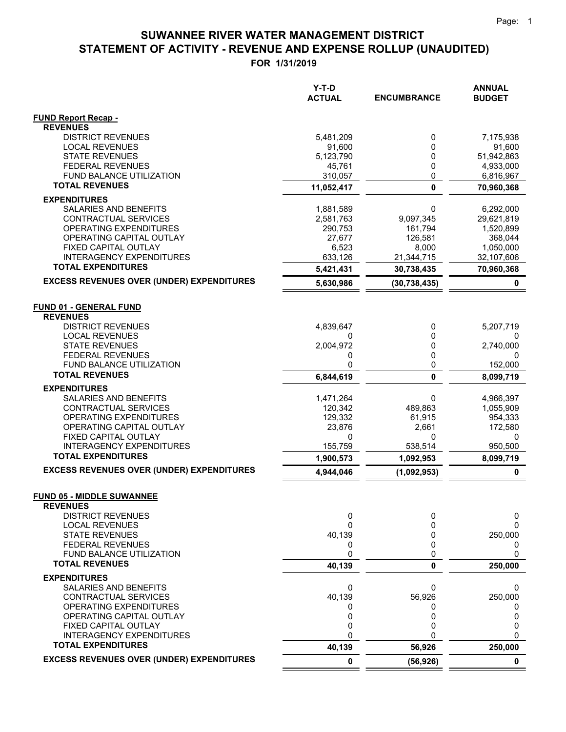|                                                              | Y-T-D<br><b>ACTUAL</b> | <b>ENCUMBRANCE</b> | <b>ANNUAL</b><br><b>BUDGET</b> |
|--------------------------------------------------------------|------------------------|--------------------|--------------------------------|
| <b>FUND Report Recap -</b>                                   |                        |                    |                                |
| <b>REVENUES</b>                                              |                        |                    |                                |
| <b>DISTRICT REVENUES</b><br><b>LOCAL REVENUES</b>            | 5,481,209<br>91,600    | 0<br>0             | 7,175,938<br>91,600            |
| <b>STATE REVENUES</b>                                        | 5,123,790              | 0                  | 51,942,863                     |
| <b>FEDERAL REVENUES</b>                                      | 45,761                 | 0                  | 4,933,000                      |
| <b>FUND BALANCE UTILIZATION</b>                              | 310,057                | 0                  | 6,816,967                      |
| <b>TOTAL REVENUES</b>                                        | 11,052,417             | $\mathbf 0$        | 70,960,368                     |
| <b>EXPENDITURES</b>                                          |                        |                    |                                |
| SALARIES AND BENEFITS                                        | 1,881,589              | 0                  | 6,292,000                      |
| CONTRACTUAL SERVICES                                         | 2,581,763              | 9,097,345          | 29,621,819                     |
| OPERATING EXPENDITURES                                       | 290,753                | 161,794            | 1,520,899                      |
| OPERATING CAPITAL OUTLAY                                     | 27,677                 | 126,581            | 368,044                        |
| FIXED CAPITAL OUTLAY                                         | 6,523                  | 8,000              | 1,050,000                      |
| <b>INTERAGENCY EXPENDITURES</b>                              | 633,126                | 21,344,715         | 32,107,606                     |
| <b>TOTAL EXPENDITURES</b>                                    | 5,421,431              | 30,738,435         | 70,960,368                     |
| <b>EXCESS REVENUES OVER (UNDER) EXPENDITURES</b>             | 5,630,986              | (30, 738, 435)     | 0                              |
| <b>FUND 01 - GENERAL FUND</b>                                |                        |                    |                                |
| <b>REVENUES</b>                                              |                        |                    |                                |
| <b>DISTRICT REVENUES</b>                                     | 4,839,647              | 0                  | 5,207,719                      |
| <b>LOCAL REVENUES</b>                                        | 0                      | 0                  | 0                              |
| <b>STATE REVENUES</b>                                        | 2,004,972              | 0                  | 2,740,000                      |
| <b>FEDERAL REVENUES</b><br>FUND BALANCE UTILIZATION          | 0<br>0                 | 0<br>0             | 0                              |
| <b>TOTAL REVENUES</b>                                        | 6,844,619              | $\mathbf{0}$       | 152,000<br>8,099,719           |
| <b>EXPENDITURES</b>                                          |                        |                    |                                |
| SALARIES AND BENEFITS                                        | 1,471,264              | 0                  | 4,966,397                      |
| CONTRACTUAL SERVICES                                         | 120,342                | 489,863            | 1,055,909                      |
| OPERATING EXPENDITURES                                       | 129,332                | 61,915             | 954,333                        |
| OPERATING CAPITAL OUTLAY                                     | 23,876                 | 2,661              | 172,580                        |
| FIXED CAPITAL OUTLAY                                         | 0                      | 0                  | 0                              |
| <b>INTERAGENCY EXPENDITURES</b>                              | 155,759                | 538,514            | 950,500                        |
| <b>TOTAL EXPENDITURES</b>                                    | 1,900,573              | 1,092,953          | 8,099,719                      |
| <b>EXCESS REVENUES OVER (UNDER) EXPENDITURES</b>             | 4,944,046              | (1,092,953)        | 0                              |
| <b>FUND 05 - MIDDLE SUWANNEE</b>                             |                        |                    |                                |
| <b>REVENUES</b>                                              |                        |                    |                                |
| <b>DISTRICT REVENUES</b><br><b>LOCAL REVENUES</b>            | 0<br>0                 | 0<br>$\Omega$      | 0<br>0                         |
| <b>STATE REVENUES</b>                                        | 40,139                 | 0                  | 250,000                        |
| <b>FEDERAL REVENUES</b>                                      | 0                      | 0                  | 0                              |
| FUND BALANCE UTILIZATION                                     | 0                      | 0                  | 0                              |
| <b>TOTAL REVENUES</b>                                        | 40,139                 | 0                  | 250,000                        |
| <b>EXPENDITURES</b>                                          |                        |                    |                                |
| SALARIES AND BENEFITS                                        | 0                      | 0                  | 0                              |
| CONTRACTUAL SERVICES                                         | 40,139                 | 56,926             | 250,000                        |
| OPERATING EXPENDITURES                                       | 0                      | 0                  | 0                              |
| OPERATING CAPITAL OUTLAY                                     | 0                      | 0                  | 0                              |
| FIXED CAPITAL OUTLAY                                         | 0                      | 0                  | 0                              |
| <b>INTERAGENCY EXPENDITURES</b><br><b>TOTAL EXPENDITURES</b> | 0<br>40,139            | O                  | 0                              |
| <b>EXCESS REVENUES OVER (UNDER) EXPENDITURES</b>             |                        | 56,926             | 250,000                        |
|                                                              | 0                      | (56, 926)          | 0                              |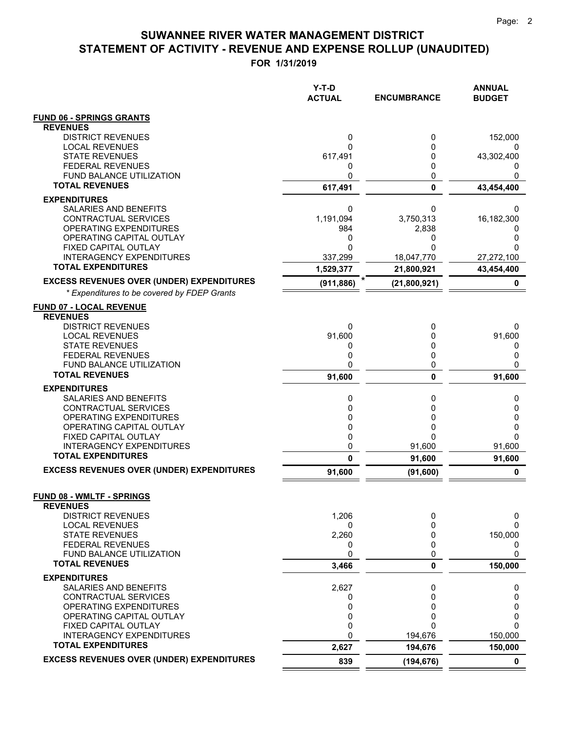**FOR 1/31/2019**

| <b>FUND 06 - SPRINGS GRANTS</b><br><b>REVENUES</b><br><b>DISTRICT REVENUES</b><br>0<br>0<br>152,000<br><b>LOCAL REVENUES</b><br>0<br>0<br>0<br><b>STATE REVENUES</b><br>617,491<br>0<br>43,302,400<br><b>FEDERAL REVENUES</b><br>0<br>0<br>0<br>FUND BALANCE UTILIZATION<br>0<br>0<br>0<br><b>TOTAL REVENUES</b><br>$\mathbf 0$<br>617,491<br>43,454,400<br><b>EXPENDITURES</b><br>SALARIES AND BENEFITS<br>0<br>0<br>0<br>CONTRACTUAL SERVICES<br>1,191,094<br>16,182,300<br>3,750,313<br>OPERATING EXPENDITURES<br>984<br>2,838<br>0<br>OPERATING CAPITAL OUTLAY<br>0<br>0<br>0<br>FIXED CAPITAL OUTLAY<br>0<br>$\Omega$<br>0<br><b>INTERAGENCY EXPENDITURES</b><br>337,299<br>18,047,770<br>27,272,100<br><b>TOTAL EXPENDITURES</b><br>43,454,400<br>1,529,377<br>21,800,921<br><b>EXCESS REVENUES OVER (UNDER) EXPENDITURES</b><br>(911, 886)<br>(21,800,921)<br>0<br>* Expenditures to be covered by FDEP Grants<br><b>FUND 07 - LOCAL REVENUE</b><br><b>REVENUES</b><br><b>DISTRICT REVENUES</b><br>0<br>0<br>0<br><b>LOCAL REVENUES</b><br>91,600<br>91,600<br>0<br><b>STATE REVENUES</b><br>0<br>0<br>0<br>0<br><b>FEDERAL REVENUES</b><br>0<br>0<br><b>FUND BALANCE UTILIZATION</b><br>0<br>0<br>0<br><b>TOTAL REVENUES</b><br>$\mathbf{0}$<br>91,600<br>91,600<br><b>EXPENDITURES</b><br>SALARIES AND BENEFITS<br>0<br>0<br>0<br>CONTRACTUAL SERVICES<br>0<br>0<br>0<br>OPERATING EXPENDITURES<br>0<br>0<br>0<br>OPERATING CAPITAL OUTLAY<br>0<br>0<br>0<br>0<br>FIXED CAPITAL OUTLAY<br>0<br>0<br><b>INTERAGENCY EXPENDITURES</b><br>0<br>91,600<br>91,600<br><b>TOTAL EXPENDITURES</b><br>0<br>91,600<br>91,600<br><b>EXCESS REVENUES OVER (UNDER) EXPENDITURES</b><br>91,600<br>(91, 600)<br>0<br>FUND 08 - WMLTF - SPRINGS<br><b>REVENUES</b><br><b>DISTRICT REVENUES</b><br>1,206<br>0<br>0<br><b>LOCAL REVENUES</b><br>$\Omega$<br>0<br>0<br><b>STATE REVENUES</b><br>2,260<br>150,000<br>0<br><b>FEDERAL REVENUES</b><br>0<br>0<br>0<br>0<br><b>FUND BALANCE UTILIZATION</b><br>0<br>0<br><b>TOTAL REVENUES</b><br>3,466<br>0<br>150,000<br><b>EXPENDITURES</b><br>2,627<br>SALARIES AND BENEFITS<br>0<br>0<br>CONTRACTUAL SERVICES<br>0<br>0<br>0<br>OPERATING EXPENDITURES<br>0<br>0<br>0<br>0<br>OPERATING CAPITAL OUTLAY<br>0<br>0<br>0<br>FIXED CAPITAL OUTLAY<br>0<br>0<br>0<br><b>INTERAGENCY EXPENDITURES</b><br>194,676<br>150,000<br><b>TOTAL EXPENDITURES</b><br>2,627<br>194,676<br>150,000<br><b>EXCESS REVENUES OVER (UNDER) EXPENDITURES</b><br>839<br>(194, 676)<br>0 | Y-T-D<br><b>ACTUAL</b> | <b>ENCUMBRANCE</b> | <b>ANNUAL</b><br><b>BUDGET</b> |
|--------------------------------------------------------------------------------------------------------------------------------------------------------------------------------------------------------------------------------------------------------------------------------------------------------------------------------------------------------------------------------------------------------------------------------------------------------------------------------------------------------------------------------------------------------------------------------------------------------------------------------------------------------------------------------------------------------------------------------------------------------------------------------------------------------------------------------------------------------------------------------------------------------------------------------------------------------------------------------------------------------------------------------------------------------------------------------------------------------------------------------------------------------------------------------------------------------------------------------------------------------------------------------------------------------------------------------------------------------------------------------------------------------------------------------------------------------------------------------------------------------------------------------------------------------------------------------------------------------------------------------------------------------------------------------------------------------------------------------------------------------------------------------------------------------------------------------------------------------------------------------------------------------------------------------------------------------------------------------------------------------------------------------------------------------------------------------------------------------------------------------------------------------------------------------------------------------------------------------------------------------------------------------------------------------------------------------------------------------------------------------------------------------------------------------------------------------------------------------------------------------|------------------------|--------------------|--------------------------------|
|                                                                                                                                                                                                                                                                                                                                                                                                                                                                                                                                                                                                                                                                                                                                                                                                                                                                                                                                                                                                                                                                                                                                                                                                                                                                                                                                                                                                                                                                                                                                                                                                                                                                                                                                                                                                                                                                                                                                                                                                                                                                                                                                                                                                                                                                                                                                                                                                                                                                                                        |                        |                    |                                |
|                                                                                                                                                                                                                                                                                                                                                                                                                                                                                                                                                                                                                                                                                                                                                                                                                                                                                                                                                                                                                                                                                                                                                                                                                                                                                                                                                                                                                                                                                                                                                                                                                                                                                                                                                                                                                                                                                                                                                                                                                                                                                                                                                                                                                                                                                                                                                                                                                                                                                                        |                        |                    |                                |
|                                                                                                                                                                                                                                                                                                                                                                                                                                                                                                                                                                                                                                                                                                                                                                                                                                                                                                                                                                                                                                                                                                                                                                                                                                                                                                                                                                                                                                                                                                                                                                                                                                                                                                                                                                                                                                                                                                                                                                                                                                                                                                                                                                                                                                                                                                                                                                                                                                                                                                        |                        |                    |                                |
|                                                                                                                                                                                                                                                                                                                                                                                                                                                                                                                                                                                                                                                                                                                                                                                                                                                                                                                                                                                                                                                                                                                                                                                                                                                                                                                                                                                                                                                                                                                                                                                                                                                                                                                                                                                                                                                                                                                                                                                                                                                                                                                                                                                                                                                                                                                                                                                                                                                                                                        |                        |                    |                                |
|                                                                                                                                                                                                                                                                                                                                                                                                                                                                                                                                                                                                                                                                                                                                                                                                                                                                                                                                                                                                                                                                                                                                                                                                                                                                                                                                                                                                                                                                                                                                                                                                                                                                                                                                                                                                                                                                                                                                                                                                                                                                                                                                                                                                                                                                                                                                                                                                                                                                                                        |                        |                    |                                |
|                                                                                                                                                                                                                                                                                                                                                                                                                                                                                                                                                                                                                                                                                                                                                                                                                                                                                                                                                                                                                                                                                                                                                                                                                                                                                                                                                                                                                                                                                                                                                                                                                                                                                                                                                                                                                                                                                                                                                                                                                                                                                                                                                                                                                                                                                                                                                                                                                                                                                                        |                        |                    |                                |
|                                                                                                                                                                                                                                                                                                                                                                                                                                                                                                                                                                                                                                                                                                                                                                                                                                                                                                                                                                                                                                                                                                                                                                                                                                                                                                                                                                                                                                                                                                                                                                                                                                                                                                                                                                                                                                                                                                                                                                                                                                                                                                                                                                                                                                                                                                                                                                                                                                                                                                        |                        |                    |                                |
|                                                                                                                                                                                                                                                                                                                                                                                                                                                                                                                                                                                                                                                                                                                                                                                                                                                                                                                                                                                                                                                                                                                                                                                                                                                                                                                                                                                                                                                                                                                                                                                                                                                                                                                                                                                                                                                                                                                                                                                                                                                                                                                                                                                                                                                                                                                                                                                                                                                                                                        |                        |                    |                                |
|                                                                                                                                                                                                                                                                                                                                                                                                                                                                                                                                                                                                                                                                                                                                                                                                                                                                                                                                                                                                                                                                                                                                                                                                                                                                                                                                                                                                                                                                                                                                                                                                                                                                                                                                                                                                                                                                                                                                                                                                                                                                                                                                                                                                                                                                                                                                                                                                                                                                                                        |                        |                    |                                |
|                                                                                                                                                                                                                                                                                                                                                                                                                                                                                                                                                                                                                                                                                                                                                                                                                                                                                                                                                                                                                                                                                                                                                                                                                                                                                                                                                                                                                                                                                                                                                                                                                                                                                                                                                                                                                                                                                                                                                                                                                                                                                                                                                                                                                                                                                                                                                                                                                                                                                                        |                        |                    |                                |
|                                                                                                                                                                                                                                                                                                                                                                                                                                                                                                                                                                                                                                                                                                                                                                                                                                                                                                                                                                                                                                                                                                                                                                                                                                                                                                                                                                                                                                                                                                                                                                                                                                                                                                                                                                                                                                                                                                                                                                                                                                                                                                                                                                                                                                                                                                                                                                                                                                                                                                        |                        |                    |                                |
|                                                                                                                                                                                                                                                                                                                                                                                                                                                                                                                                                                                                                                                                                                                                                                                                                                                                                                                                                                                                                                                                                                                                                                                                                                                                                                                                                                                                                                                                                                                                                                                                                                                                                                                                                                                                                                                                                                                                                                                                                                                                                                                                                                                                                                                                                                                                                                                                                                                                                                        |                        |                    |                                |
|                                                                                                                                                                                                                                                                                                                                                                                                                                                                                                                                                                                                                                                                                                                                                                                                                                                                                                                                                                                                                                                                                                                                                                                                                                                                                                                                                                                                                                                                                                                                                                                                                                                                                                                                                                                                                                                                                                                                                                                                                                                                                                                                                                                                                                                                                                                                                                                                                                                                                                        |                        |                    |                                |
|                                                                                                                                                                                                                                                                                                                                                                                                                                                                                                                                                                                                                                                                                                                                                                                                                                                                                                                                                                                                                                                                                                                                                                                                                                                                                                                                                                                                                                                                                                                                                                                                                                                                                                                                                                                                                                                                                                                                                                                                                                                                                                                                                                                                                                                                                                                                                                                                                                                                                                        |                        |                    |                                |
|                                                                                                                                                                                                                                                                                                                                                                                                                                                                                                                                                                                                                                                                                                                                                                                                                                                                                                                                                                                                                                                                                                                                                                                                                                                                                                                                                                                                                                                                                                                                                                                                                                                                                                                                                                                                                                                                                                                                                                                                                                                                                                                                                                                                                                                                                                                                                                                                                                                                                                        |                        |                    |                                |
|                                                                                                                                                                                                                                                                                                                                                                                                                                                                                                                                                                                                                                                                                                                                                                                                                                                                                                                                                                                                                                                                                                                                                                                                                                                                                                                                                                                                                                                                                                                                                                                                                                                                                                                                                                                                                                                                                                                                                                                                                                                                                                                                                                                                                                                                                                                                                                                                                                                                                                        |                        |                    |                                |
|                                                                                                                                                                                                                                                                                                                                                                                                                                                                                                                                                                                                                                                                                                                                                                                                                                                                                                                                                                                                                                                                                                                                                                                                                                                                                                                                                                                                                                                                                                                                                                                                                                                                                                                                                                                                                                                                                                                                                                                                                                                                                                                                                                                                                                                                                                                                                                                                                                                                                                        |                        |                    |                                |
|                                                                                                                                                                                                                                                                                                                                                                                                                                                                                                                                                                                                                                                                                                                                                                                                                                                                                                                                                                                                                                                                                                                                                                                                                                                                                                                                                                                                                                                                                                                                                                                                                                                                                                                                                                                                                                                                                                                                                                                                                                                                                                                                                                                                                                                                                                                                                                                                                                                                                                        |                        |                    |                                |
|                                                                                                                                                                                                                                                                                                                                                                                                                                                                                                                                                                                                                                                                                                                                                                                                                                                                                                                                                                                                                                                                                                                                                                                                                                                                                                                                                                                                                                                                                                                                                                                                                                                                                                                                                                                                                                                                                                                                                                                                                                                                                                                                                                                                                                                                                                                                                                                                                                                                                                        |                        |                    |                                |
|                                                                                                                                                                                                                                                                                                                                                                                                                                                                                                                                                                                                                                                                                                                                                                                                                                                                                                                                                                                                                                                                                                                                                                                                                                                                                                                                                                                                                                                                                                                                                                                                                                                                                                                                                                                                                                                                                                                                                                                                                                                                                                                                                                                                                                                                                                                                                                                                                                                                                                        |                        |                    |                                |
|                                                                                                                                                                                                                                                                                                                                                                                                                                                                                                                                                                                                                                                                                                                                                                                                                                                                                                                                                                                                                                                                                                                                                                                                                                                                                                                                                                                                                                                                                                                                                                                                                                                                                                                                                                                                                                                                                                                                                                                                                                                                                                                                                                                                                                                                                                                                                                                                                                                                                                        |                        |                    |                                |
|                                                                                                                                                                                                                                                                                                                                                                                                                                                                                                                                                                                                                                                                                                                                                                                                                                                                                                                                                                                                                                                                                                                                                                                                                                                                                                                                                                                                                                                                                                                                                                                                                                                                                                                                                                                                                                                                                                                                                                                                                                                                                                                                                                                                                                                                                                                                                                                                                                                                                                        |                        |                    |                                |
|                                                                                                                                                                                                                                                                                                                                                                                                                                                                                                                                                                                                                                                                                                                                                                                                                                                                                                                                                                                                                                                                                                                                                                                                                                                                                                                                                                                                                                                                                                                                                                                                                                                                                                                                                                                                                                                                                                                                                                                                                                                                                                                                                                                                                                                                                                                                                                                                                                                                                                        |                        |                    |                                |
|                                                                                                                                                                                                                                                                                                                                                                                                                                                                                                                                                                                                                                                                                                                                                                                                                                                                                                                                                                                                                                                                                                                                                                                                                                                                                                                                                                                                                                                                                                                                                                                                                                                                                                                                                                                                                                                                                                                                                                                                                                                                                                                                                                                                                                                                                                                                                                                                                                                                                                        |                        |                    |                                |
|                                                                                                                                                                                                                                                                                                                                                                                                                                                                                                                                                                                                                                                                                                                                                                                                                                                                                                                                                                                                                                                                                                                                                                                                                                                                                                                                                                                                                                                                                                                                                                                                                                                                                                                                                                                                                                                                                                                                                                                                                                                                                                                                                                                                                                                                                                                                                                                                                                                                                                        |                        |                    |                                |
|                                                                                                                                                                                                                                                                                                                                                                                                                                                                                                                                                                                                                                                                                                                                                                                                                                                                                                                                                                                                                                                                                                                                                                                                                                                                                                                                                                                                                                                                                                                                                                                                                                                                                                                                                                                                                                                                                                                                                                                                                                                                                                                                                                                                                                                                                                                                                                                                                                                                                                        |                        |                    |                                |
|                                                                                                                                                                                                                                                                                                                                                                                                                                                                                                                                                                                                                                                                                                                                                                                                                                                                                                                                                                                                                                                                                                                                                                                                                                                                                                                                                                                                                                                                                                                                                                                                                                                                                                                                                                                                                                                                                                                                                                                                                                                                                                                                                                                                                                                                                                                                                                                                                                                                                                        |                        |                    |                                |
|                                                                                                                                                                                                                                                                                                                                                                                                                                                                                                                                                                                                                                                                                                                                                                                                                                                                                                                                                                                                                                                                                                                                                                                                                                                                                                                                                                                                                                                                                                                                                                                                                                                                                                                                                                                                                                                                                                                                                                                                                                                                                                                                                                                                                                                                                                                                                                                                                                                                                                        |                        |                    |                                |
|                                                                                                                                                                                                                                                                                                                                                                                                                                                                                                                                                                                                                                                                                                                                                                                                                                                                                                                                                                                                                                                                                                                                                                                                                                                                                                                                                                                                                                                                                                                                                                                                                                                                                                                                                                                                                                                                                                                                                                                                                                                                                                                                                                                                                                                                                                                                                                                                                                                                                                        |                        |                    |                                |
|                                                                                                                                                                                                                                                                                                                                                                                                                                                                                                                                                                                                                                                                                                                                                                                                                                                                                                                                                                                                                                                                                                                                                                                                                                                                                                                                                                                                                                                                                                                                                                                                                                                                                                                                                                                                                                                                                                                                                                                                                                                                                                                                                                                                                                                                                                                                                                                                                                                                                                        |                        |                    |                                |
|                                                                                                                                                                                                                                                                                                                                                                                                                                                                                                                                                                                                                                                                                                                                                                                                                                                                                                                                                                                                                                                                                                                                                                                                                                                                                                                                                                                                                                                                                                                                                                                                                                                                                                                                                                                                                                                                                                                                                                                                                                                                                                                                                                                                                                                                                                                                                                                                                                                                                                        |                        |                    |                                |
|                                                                                                                                                                                                                                                                                                                                                                                                                                                                                                                                                                                                                                                                                                                                                                                                                                                                                                                                                                                                                                                                                                                                                                                                                                                                                                                                                                                                                                                                                                                                                                                                                                                                                                                                                                                                                                                                                                                                                                                                                                                                                                                                                                                                                                                                                                                                                                                                                                                                                                        |                        |                    |                                |
|                                                                                                                                                                                                                                                                                                                                                                                                                                                                                                                                                                                                                                                                                                                                                                                                                                                                                                                                                                                                                                                                                                                                                                                                                                                                                                                                                                                                                                                                                                                                                                                                                                                                                                                                                                                                                                                                                                                                                                                                                                                                                                                                                                                                                                                                                                                                                                                                                                                                                                        |                        |                    |                                |
|                                                                                                                                                                                                                                                                                                                                                                                                                                                                                                                                                                                                                                                                                                                                                                                                                                                                                                                                                                                                                                                                                                                                                                                                                                                                                                                                                                                                                                                                                                                                                                                                                                                                                                                                                                                                                                                                                                                                                                                                                                                                                                                                                                                                                                                                                                                                                                                                                                                                                                        |                        |                    |                                |
|                                                                                                                                                                                                                                                                                                                                                                                                                                                                                                                                                                                                                                                                                                                                                                                                                                                                                                                                                                                                                                                                                                                                                                                                                                                                                                                                                                                                                                                                                                                                                                                                                                                                                                                                                                                                                                                                                                                                                                                                                                                                                                                                                                                                                                                                                                                                                                                                                                                                                                        |                        |                    |                                |
|                                                                                                                                                                                                                                                                                                                                                                                                                                                                                                                                                                                                                                                                                                                                                                                                                                                                                                                                                                                                                                                                                                                                                                                                                                                                                                                                                                                                                                                                                                                                                                                                                                                                                                                                                                                                                                                                                                                                                                                                                                                                                                                                                                                                                                                                                                                                                                                                                                                                                                        |                        |                    |                                |
|                                                                                                                                                                                                                                                                                                                                                                                                                                                                                                                                                                                                                                                                                                                                                                                                                                                                                                                                                                                                                                                                                                                                                                                                                                                                                                                                                                                                                                                                                                                                                                                                                                                                                                                                                                                                                                                                                                                                                                                                                                                                                                                                                                                                                                                                                                                                                                                                                                                                                                        |                        |                    |                                |
|                                                                                                                                                                                                                                                                                                                                                                                                                                                                                                                                                                                                                                                                                                                                                                                                                                                                                                                                                                                                                                                                                                                                                                                                                                                                                                                                                                                                                                                                                                                                                                                                                                                                                                                                                                                                                                                                                                                                                                                                                                                                                                                                                                                                                                                                                                                                                                                                                                                                                                        |                        |                    |                                |
|                                                                                                                                                                                                                                                                                                                                                                                                                                                                                                                                                                                                                                                                                                                                                                                                                                                                                                                                                                                                                                                                                                                                                                                                                                                                                                                                                                                                                                                                                                                                                                                                                                                                                                                                                                                                                                                                                                                                                                                                                                                                                                                                                                                                                                                                                                                                                                                                                                                                                                        |                        |                    |                                |
|                                                                                                                                                                                                                                                                                                                                                                                                                                                                                                                                                                                                                                                                                                                                                                                                                                                                                                                                                                                                                                                                                                                                                                                                                                                                                                                                                                                                                                                                                                                                                                                                                                                                                                                                                                                                                                                                                                                                                                                                                                                                                                                                                                                                                                                                                                                                                                                                                                                                                                        |                        |                    |                                |
|                                                                                                                                                                                                                                                                                                                                                                                                                                                                                                                                                                                                                                                                                                                                                                                                                                                                                                                                                                                                                                                                                                                                                                                                                                                                                                                                                                                                                                                                                                                                                                                                                                                                                                                                                                                                                                                                                                                                                                                                                                                                                                                                                                                                                                                                                                                                                                                                                                                                                                        |                        |                    |                                |
|                                                                                                                                                                                                                                                                                                                                                                                                                                                                                                                                                                                                                                                                                                                                                                                                                                                                                                                                                                                                                                                                                                                                                                                                                                                                                                                                                                                                                                                                                                                                                                                                                                                                                                                                                                                                                                                                                                                                                                                                                                                                                                                                                                                                                                                                                                                                                                                                                                                                                                        |                        |                    |                                |
|                                                                                                                                                                                                                                                                                                                                                                                                                                                                                                                                                                                                                                                                                                                                                                                                                                                                                                                                                                                                                                                                                                                                                                                                                                                                                                                                                                                                                                                                                                                                                                                                                                                                                                                                                                                                                                                                                                                                                                                                                                                                                                                                                                                                                                                                                                                                                                                                                                                                                                        |                        |                    |                                |
|                                                                                                                                                                                                                                                                                                                                                                                                                                                                                                                                                                                                                                                                                                                                                                                                                                                                                                                                                                                                                                                                                                                                                                                                                                                                                                                                                                                                                                                                                                                                                                                                                                                                                                                                                                                                                                                                                                                                                                                                                                                                                                                                                                                                                                                                                                                                                                                                                                                                                                        |                        |                    |                                |
|                                                                                                                                                                                                                                                                                                                                                                                                                                                                                                                                                                                                                                                                                                                                                                                                                                                                                                                                                                                                                                                                                                                                                                                                                                                                                                                                                                                                                                                                                                                                                                                                                                                                                                                                                                                                                                                                                                                                                                                                                                                                                                                                                                                                                                                                                                                                                                                                                                                                                                        |                        |                    |                                |
|                                                                                                                                                                                                                                                                                                                                                                                                                                                                                                                                                                                                                                                                                                                                                                                                                                                                                                                                                                                                                                                                                                                                                                                                                                                                                                                                                                                                                                                                                                                                                                                                                                                                                                                                                                                                                                                                                                                                                                                                                                                                                                                                                                                                                                                                                                                                                                                                                                                                                                        |                        |                    |                                |

 $=$  $\equiv$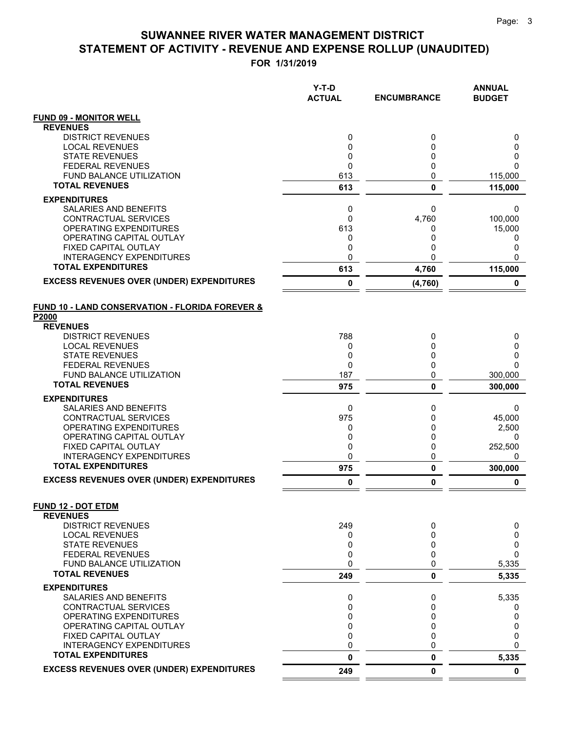**FOR 1/31/2019**

|                                                             | Y-T-D<br><b>ACTUAL</b> | <b>ENCUMBRANCE</b> | <b>ANNUAL</b><br><b>BUDGET</b> |
|-------------------------------------------------------------|------------------------|--------------------|--------------------------------|
| <b>FUND 09 - MONITOR WELL</b>                               |                        |                    |                                |
| <b>REVENUES</b>                                             |                        |                    |                                |
| <b>DISTRICT REVENUES</b>                                    | 0                      | 0                  | 0                              |
| <b>LOCAL REVENUES</b><br><b>STATE REVENUES</b>              | 0<br>0                 | 0<br>0             | 0<br>0                         |
| <b>FEDERAL REVENUES</b>                                     | 0                      | 0                  | 0                              |
| FUND BALANCE UTILIZATION                                    | 613                    | 0                  | 115,000                        |
| <b>TOTAL REVENUES</b>                                       | 613                    | $\mathbf{0}$       | 115,000                        |
| <b>EXPENDITURES</b>                                         |                        |                    |                                |
| <b>SALARIES AND BENEFITS</b>                                | 0                      | 0                  | 0                              |
| CONTRACTUAL SERVICES                                        | 0                      | 4,760              | 100,000                        |
| <b>OPERATING EXPENDITURES</b>                               | 613                    | 0                  | 15,000                         |
| OPERATING CAPITAL OUTLAY<br>FIXED CAPITAL OUTLAY            | 0<br>0                 | 0<br>0             | 0<br>0                         |
| <b>INTERAGENCY EXPENDITURES</b>                             | 0                      | 0                  | 0                              |
| <b>TOTAL EXPENDITURES</b>                                   | 613                    | 4,760              | 115,000                        |
| <b>EXCESS REVENUES OVER (UNDER) EXPENDITURES</b>            | 0                      | (4,760)            | 0                              |
| <b>FUND 10 - LAND CONSERVATION - FLORIDA FOREVER &amp;</b>  |                        |                    |                                |
| P2000                                                       |                        |                    |                                |
| <b>REVENUES</b><br><b>DISTRICT REVENUES</b>                 | 788                    | 0                  | 0                              |
| <b>LOCAL REVENUES</b>                                       | 0                      | 0                  | 0                              |
| <b>STATE REVENUES</b>                                       | 0                      | 0                  | 0                              |
| <b>FEDERAL REVENUES</b>                                     | 0                      | 0                  | 0                              |
| <b>FUND BALANCE UTILIZATION</b>                             | 187                    | 0                  | 300,000                        |
| <b>TOTAL REVENUES</b>                                       | 975                    | $\mathbf 0$        | 300,000                        |
| <b>EXPENDITURES</b>                                         |                        |                    |                                |
| SALARIES AND BENEFITS                                       | 0                      | 0                  | 0                              |
| CONTRACTUAL SERVICES<br>OPERATING EXPENDITURES              | 975<br>0               | 0<br>0             | 45,000<br>2,500                |
| OPERATING CAPITAL OUTLAY                                    | 0                      | 0                  | 0                              |
| FIXED CAPITAL OUTLAY                                        | 0                      | 0                  | 252,500                        |
| <b>INTERAGENCY EXPENDITURES</b>                             | 0                      | 0                  | 0                              |
| <b>TOTAL EXPENDITURES</b>                                   | 975                    | $\pmb{0}$          | 300,000                        |
| <b>EXCESS REVENUES OVER (UNDER) EXPENDITURES</b>            | 0                      | 0                  | 0                              |
| <b>FUND 12 - DOT ETDM</b><br><b>REVENUES</b>                |                        |                    |                                |
| <b>DISTRICT REVENUES</b>                                    | 249                    | 0                  | 0                              |
| <b>LOCAL REVENUES</b>                                       | 0                      | 0                  | 0                              |
| <b>STATE REVENUES</b>                                       | 0                      | 0                  | 0                              |
| <b>FEDERAL REVENUES</b>                                     | 0                      | 0                  | 0                              |
| FUND BALANCE UTILIZATION                                    | 0                      | 0                  | 5,335                          |
| <b>TOTAL REVENUES</b>                                       | 249                    | 0                  | 5,335                          |
| <b>EXPENDITURES</b>                                         |                        |                    |                                |
| <b>SALARIES AND BENEFITS</b><br><b>CONTRACTUAL SERVICES</b> | 0<br>0                 | 0<br>0             | 5,335                          |
| OPERATING EXPENDITURES                                      | 0                      | 0                  | 0<br>0                         |
| OPERATING CAPITAL OUTLAY                                    | $\mathbf 0$            | 0                  | 0                              |
| FIXED CAPITAL OUTLAY                                        | 0                      | 0                  | 0                              |
| <b>INTERAGENCY EXPENDITURES</b>                             | 0                      | 0                  | 0                              |
| <b>TOTAL EXPENDITURES</b>                                   | 0                      | 0                  | 5,335                          |
| <b>EXCESS REVENUES OVER (UNDER) EXPENDITURES</b>            | 249                    | 0                  | $\mathbf 0$                    |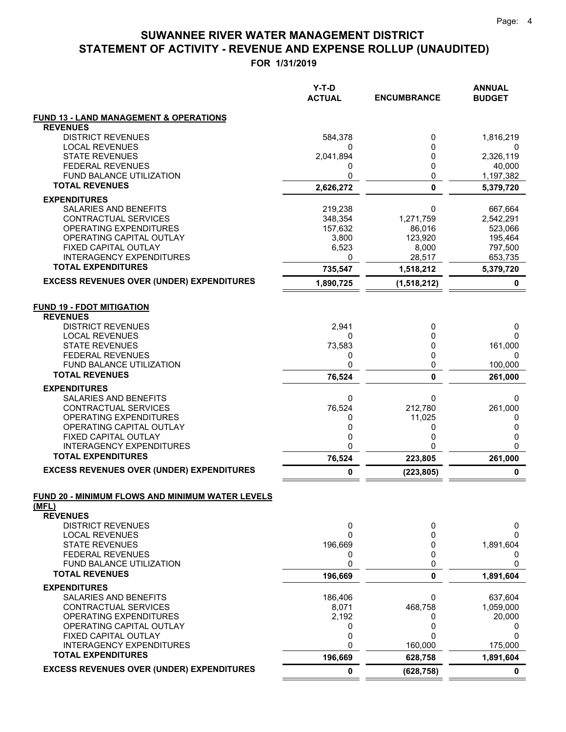**FOR 1/31/2019**

|                                                         | Y-T-D<br><b>ACTUAL</b> | <b>ENCUMBRANCE</b> | <b>ANNUAL</b><br><b>BUDGET</b> |
|---------------------------------------------------------|------------------------|--------------------|--------------------------------|
| <b>FUND 13 - LAND MANAGEMENT &amp; OPERATIONS</b>       |                        |                    |                                |
| <b>REVENUES</b>                                         |                        |                    |                                |
| <b>DISTRICT REVENUES</b>                                | 584,378                | 0                  | 1,816,219                      |
| <b>LOCAL REVENUES</b><br><b>STATE REVENUES</b>          | 0<br>2,041,894         | 0<br>0             | O<br>2,326,119                 |
| <b>FEDERAL REVENUES</b>                                 | 0                      | 0                  | 40,000                         |
| <b>FUND BALANCE UTILIZATION</b>                         | 0                      | 0                  | 1,197,382                      |
| <b>TOTAL REVENUES</b>                                   | 2,626,272              | 0                  | 5,379,720                      |
| <b>EXPENDITURES</b>                                     |                        |                    |                                |
| SALARIES AND BENEFITS                                   | 219,238                | 0                  | 667,664                        |
| <b>CONTRACTUAL SERVICES</b>                             | 348,354                | 1,271,759          | 2,542,291                      |
| OPERATING EXPENDITURES                                  | 157,632                | 86,016             | 523,066                        |
| OPERATING CAPITAL OUTLAY                                | 3,800                  | 123,920            | 195,464                        |
| FIXED CAPITAL OUTLAY<br><b>INTERAGENCY EXPENDITURES</b> | 6,523<br>0             | 8,000<br>28,517    | 797,500<br>653,735             |
| <b>TOTAL EXPENDITURES</b>                               | 735,547                | 1,518,212          | 5,379,720                      |
| <b>EXCESS REVENUES OVER (UNDER) EXPENDITURES</b>        | 1,890,725              | (1,518,212)        | 0                              |
| <b>FUND 19 - FDOT MITIGATION</b>                        |                        |                    |                                |
| <b>REVENUES</b>                                         |                        |                    |                                |
| <b>DISTRICT REVENUES</b>                                | 2,941                  | 0                  | 0                              |
| <b>LOCAL REVENUES</b><br><b>STATE REVENUES</b>          | 0<br>73,583            | 0<br>0             | 0<br>161,000                   |
| <b>FEDERAL REVENUES</b>                                 | 0                      | 0                  | 0                              |
| FUND BALANCE UTILIZATION                                | 0                      | 0                  | 100,000                        |
| <b>TOTAL REVENUES</b>                                   | 76,524                 | $\bf{0}$           | 261,000                        |
| <b>EXPENDITURES</b>                                     |                        |                    |                                |
| SALARIES AND BENEFITS                                   | 0                      | 0                  | 0                              |
| CONTRACTUAL SERVICES                                    | 76,524                 | 212,780            | 261,000                        |
| OPERATING EXPENDITURES<br>OPERATING CAPITAL OUTLAY      | 0<br>0                 | 11,025<br>0        | 0<br>0                         |
| FIXED CAPITAL OUTLAY                                    | 0                      | 0                  | 0                              |
| <b>INTERAGENCY EXPENDITURES</b>                         | 0                      | 0                  | 0                              |
| <b>TOTAL EXPENDITURES</b>                               | 76,524                 | 223,805            | 261,000                        |
| <b>EXCESS REVENUES OVER (UNDER) EXPENDITURES</b>        | 0                      | (223, 805)         | 0                              |
| FUND 20 - MINIMUM FLOWS AND MINIMUM WATER LEVELS        |                        |                    |                                |
| (MFL)                                                   |                        |                    |                                |
| <b>REVENUES</b><br><b>DISTRICT REVENUES</b>             | 0                      | 0                  | 0                              |
| <b>LOCAL REVENUES</b>                                   | $\mathbf{0}$           | 0                  | $\Omega$                       |
| <b>STATE REVENUES</b>                                   | 196,669                | 0                  | 1,891,604                      |
| <b>FEDERAL REVENUES</b>                                 | 0                      | 0                  | 0                              |
| FUND BALANCE UTILIZATION                                | 0                      | 0                  | 0                              |
| <b>TOTAL REVENUES</b>                                   | 196,669                | $\mathbf 0$        | 1,891,604                      |
| <b>EXPENDITURES</b>                                     |                        |                    |                                |
| SALARIES AND BENEFITS                                   | 186,406                | 0                  | 637,604                        |
| <b>CONTRACTUAL SERVICES</b><br>OPERATING EXPENDITURES   | 8,071<br>2,192         | 468,758<br>0       | 1,059,000<br>20,000            |
| OPERATING CAPITAL OUTLAY                                | 0                      | 0                  | 0                              |
| FIXED CAPITAL OUTLAY                                    | 0                      | 0                  | 0                              |
| <b>INTERAGENCY EXPENDITURES</b>                         | 0                      | 160,000            | 175,000                        |
| <b>TOTAL EXPENDITURES</b>                               | 196,669                | 628,758            | 1,891,604                      |
| <b>EXCESS REVENUES OVER (UNDER) EXPENDITURES</b>        | 0                      | (628, 758)         | 0                              |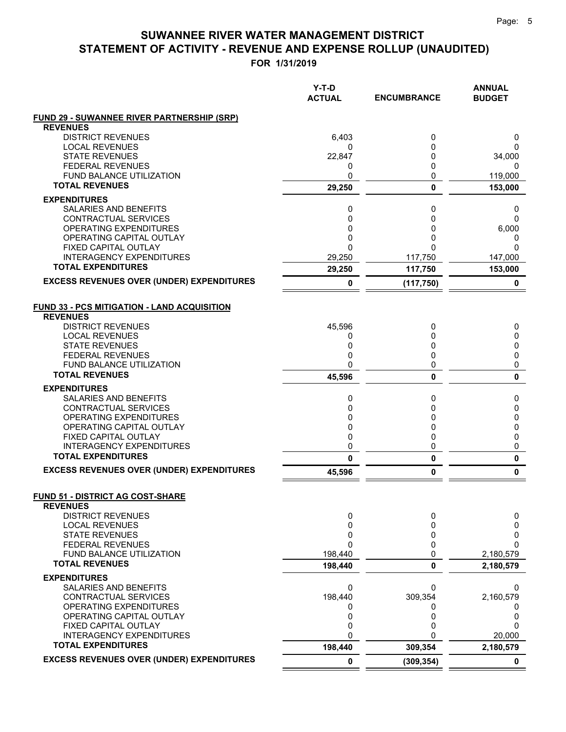**FOR 1/31/2019**

| <b>FUND 29 - SUWANNEE RIVER PARTNERSHIP (SRP)</b><br><b>REVENUES</b><br><b>DISTRICT REVENUES</b><br>6,403<br>0<br>0<br><b>LOCAL REVENUES</b><br>0<br>0<br>0<br><b>STATE REVENUES</b><br>0<br>22,847<br>34,000<br><b>FEDERAL REVENUES</b><br>0<br>0<br>0<br><b>FUND BALANCE UTILIZATION</b><br>0<br>0<br>119,000<br><b>TOTAL REVENUES</b><br>29,250<br>0<br>153,000<br><b>EXPENDITURES</b><br><b>SALARIES AND BENEFITS</b><br>0<br>0<br>0<br>CONTRACTUAL SERVICES<br>0<br>0<br>$\Omega$<br>OPERATING EXPENDITURES<br>0<br>0<br>6,000<br>OPERATING CAPITAL OUTLAY<br>0<br>0<br>0<br>FIXED CAPITAL OUTLAY<br>$\Omega$<br>$\Omega$<br>0<br><b>INTERAGENCY EXPENDITURES</b><br>29,250<br>117,750<br>147,000<br><b>TOTAL EXPENDITURES</b><br>153,000<br>29,250<br>117,750<br><b>EXCESS REVENUES OVER (UNDER) EXPENDITURES</b><br>0<br>0<br>(117, 750)<br><b>FUND 33 - PCS MITIGATION - LAND ACQUISITION</b><br><b>REVENUES</b><br><b>DISTRICT REVENUES</b><br>45,596<br>0<br>0<br><b>LOCAL REVENUES</b><br>0<br>0<br>0<br><b>STATE REVENUES</b><br>0<br>0<br>0<br>0<br><b>FEDERAL REVENUES</b><br>0<br>0<br>0<br><b>FUND BALANCE UTILIZATION</b><br>0<br>0<br><b>TOTAL REVENUES</b><br>$\mathbf{0}$<br>45,596<br>0<br><b>EXPENDITURES</b><br>SALARIES AND BENEFITS<br>0<br>0<br>0<br>CONTRACTUAL SERVICES<br>0<br>0<br>0<br>OPERATING EXPENDITURES<br>0<br>0<br>0<br>OPERATING CAPITAL OUTLAY<br>0<br>0<br>0<br>FIXED CAPITAL OUTLAY<br>0<br>0<br>0<br><b>INTERAGENCY EXPENDITURES</b><br>0<br>0<br>0<br><b>TOTAL EXPENDITURES</b><br>0<br>$\pmb{0}$<br>0<br><b>EXCESS REVENUES OVER (UNDER) EXPENDITURES</b><br>0<br>0<br>45,596<br><b>FUND 51 - DISTRICT AG COST-SHARE</b><br><b>REVENUES</b><br><b>DISTRICT REVENUES</b><br>0<br>0<br>0<br>0<br>0<br><b>LOCAL REVENUES</b><br>0<br>0<br><b>STATE REVENUES</b><br>0<br>0<br>$\mathbf{0}$<br><b>FEDERAL REVENUES</b><br>0<br>$\Omega$<br>FUND BALANCE UTILIZATION<br>198,440<br>0<br>2,180,579<br><b>TOTAL REVENUES</b><br>198,440<br>0<br>2,180,579<br><b>EXPENDITURES</b><br>SALARIES AND BENEFITS<br>0<br>0<br>0<br><b>CONTRACTUAL SERVICES</b><br>198,440<br>309,354<br>2,160,579<br>OPERATING EXPENDITURES<br>0<br>0<br>0<br>OPERATING CAPITAL OUTLAY<br>0<br>0<br>0<br>0<br>FIXED CAPITAL OUTLAY<br>0<br>0<br>0<br><b>INTERAGENCY EXPENDITURES</b><br>20,000<br>0<br><b>TOTAL EXPENDITURES</b><br>198,440<br>309,354<br>2,180,579<br><b>EXCESS REVENUES OVER (UNDER) EXPENDITURES</b><br>0<br>(309, 354)<br>0 | $Y-T-D$<br><b>ACTUAL</b> | <b>ENCUMBRANCE</b> | <b>ANNUAL</b><br><b>BUDGET</b> |
|----------------------------------------------------------------------------------------------------------------------------------------------------------------------------------------------------------------------------------------------------------------------------------------------------------------------------------------------------------------------------------------------------------------------------------------------------------------------------------------------------------------------------------------------------------------------------------------------------------------------------------------------------------------------------------------------------------------------------------------------------------------------------------------------------------------------------------------------------------------------------------------------------------------------------------------------------------------------------------------------------------------------------------------------------------------------------------------------------------------------------------------------------------------------------------------------------------------------------------------------------------------------------------------------------------------------------------------------------------------------------------------------------------------------------------------------------------------------------------------------------------------------------------------------------------------------------------------------------------------------------------------------------------------------------------------------------------------------------------------------------------------------------------------------------------------------------------------------------------------------------------------------------------------------------------------------------------------------------------------------------------------------------------------------------------------------------------------------------------------------------------------------------------------------------------------------------------------------------------------------------------------------------------------------------------------------------------------------------------------------------------------------------------------------------------------------------------------|--------------------------|--------------------|--------------------------------|
|                                                                                                                                                                                                                                                                                                                                                                                                                                                                                                                                                                                                                                                                                                                                                                                                                                                                                                                                                                                                                                                                                                                                                                                                                                                                                                                                                                                                                                                                                                                                                                                                                                                                                                                                                                                                                                                                                                                                                                                                                                                                                                                                                                                                                                                                                                                                                                                                                                                                |                          |                    |                                |
|                                                                                                                                                                                                                                                                                                                                                                                                                                                                                                                                                                                                                                                                                                                                                                                                                                                                                                                                                                                                                                                                                                                                                                                                                                                                                                                                                                                                                                                                                                                                                                                                                                                                                                                                                                                                                                                                                                                                                                                                                                                                                                                                                                                                                                                                                                                                                                                                                                                                |                          |                    |                                |
|                                                                                                                                                                                                                                                                                                                                                                                                                                                                                                                                                                                                                                                                                                                                                                                                                                                                                                                                                                                                                                                                                                                                                                                                                                                                                                                                                                                                                                                                                                                                                                                                                                                                                                                                                                                                                                                                                                                                                                                                                                                                                                                                                                                                                                                                                                                                                                                                                                                                |                          |                    |                                |
|                                                                                                                                                                                                                                                                                                                                                                                                                                                                                                                                                                                                                                                                                                                                                                                                                                                                                                                                                                                                                                                                                                                                                                                                                                                                                                                                                                                                                                                                                                                                                                                                                                                                                                                                                                                                                                                                                                                                                                                                                                                                                                                                                                                                                                                                                                                                                                                                                                                                |                          |                    |                                |
|                                                                                                                                                                                                                                                                                                                                                                                                                                                                                                                                                                                                                                                                                                                                                                                                                                                                                                                                                                                                                                                                                                                                                                                                                                                                                                                                                                                                                                                                                                                                                                                                                                                                                                                                                                                                                                                                                                                                                                                                                                                                                                                                                                                                                                                                                                                                                                                                                                                                |                          |                    |                                |
|                                                                                                                                                                                                                                                                                                                                                                                                                                                                                                                                                                                                                                                                                                                                                                                                                                                                                                                                                                                                                                                                                                                                                                                                                                                                                                                                                                                                                                                                                                                                                                                                                                                                                                                                                                                                                                                                                                                                                                                                                                                                                                                                                                                                                                                                                                                                                                                                                                                                |                          |                    |                                |
|                                                                                                                                                                                                                                                                                                                                                                                                                                                                                                                                                                                                                                                                                                                                                                                                                                                                                                                                                                                                                                                                                                                                                                                                                                                                                                                                                                                                                                                                                                                                                                                                                                                                                                                                                                                                                                                                                                                                                                                                                                                                                                                                                                                                                                                                                                                                                                                                                                                                |                          |                    |                                |
|                                                                                                                                                                                                                                                                                                                                                                                                                                                                                                                                                                                                                                                                                                                                                                                                                                                                                                                                                                                                                                                                                                                                                                                                                                                                                                                                                                                                                                                                                                                                                                                                                                                                                                                                                                                                                                                                                                                                                                                                                                                                                                                                                                                                                                                                                                                                                                                                                                                                |                          |                    |                                |
|                                                                                                                                                                                                                                                                                                                                                                                                                                                                                                                                                                                                                                                                                                                                                                                                                                                                                                                                                                                                                                                                                                                                                                                                                                                                                                                                                                                                                                                                                                                                                                                                                                                                                                                                                                                                                                                                                                                                                                                                                                                                                                                                                                                                                                                                                                                                                                                                                                                                |                          |                    |                                |
|                                                                                                                                                                                                                                                                                                                                                                                                                                                                                                                                                                                                                                                                                                                                                                                                                                                                                                                                                                                                                                                                                                                                                                                                                                                                                                                                                                                                                                                                                                                                                                                                                                                                                                                                                                                                                                                                                                                                                                                                                                                                                                                                                                                                                                                                                                                                                                                                                                                                |                          |                    |                                |
|                                                                                                                                                                                                                                                                                                                                                                                                                                                                                                                                                                                                                                                                                                                                                                                                                                                                                                                                                                                                                                                                                                                                                                                                                                                                                                                                                                                                                                                                                                                                                                                                                                                                                                                                                                                                                                                                                                                                                                                                                                                                                                                                                                                                                                                                                                                                                                                                                                                                |                          |                    |                                |
|                                                                                                                                                                                                                                                                                                                                                                                                                                                                                                                                                                                                                                                                                                                                                                                                                                                                                                                                                                                                                                                                                                                                                                                                                                                                                                                                                                                                                                                                                                                                                                                                                                                                                                                                                                                                                                                                                                                                                                                                                                                                                                                                                                                                                                                                                                                                                                                                                                                                |                          |                    |                                |
|                                                                                                                                                                                                                                                                                                                                                                                                                                                                                                                                                                                                                                                                                                                                                                                                                                                                                                                                                                                                                                                                                                                                                                                                                                                                                                                                                                                                                                                                                                                                                                                                                                                                                                                                                                                                                                                                                                                                                                                                                                                                                                                                                                                                                                                                                                                                                                                                                                                                |                          |                    |                                |
|                                                                                                                                                                                                                                                                                                                                                                                                                                                                                                                                                                                                                                                                                                                                                                                                                                                                                                                                                                                                                                                                                                                                                                                                                                                                                                                                                                                                                                                                                                                                                                                                                                                                                                                                                                                                                                                                                                                                                                                                                                                                                                                                                                                                                                                                                                                                                                                                                                                                |                          |                    |                                |
|                                                                                                                                                                                                                                                                                                                                                                                                                                                                                                                                                                                                                                                                                                                                                                                                                                                                                                                                                                                                                                                                                                                                                                                                                                                                                                                                                                                                                                                                                                                                                                                                                                                                                                                                                                                                                                                                                                                                                                                                                                                                                                                                                                                                                                                                                                                                                                                                                                                                |                          |                    |                                |
|                                                                                                                                                                                                                                                                                                                                                                                                                                                                                                                                                                                                                                                                                                                                                                                                                                                                                                                                                                                                                                                                                                                                                                                                                                                                                                                                                                                                                                                                                                                                                                                                                                                                                                                                                                                                                                                                                                                                                                                                                                                                                                                                                                                                                                                                                                                                                                                                                                                                |                          |                    |                                |
|                                                                                                                                                                                                                                                                                                                                                                                                                                                                                                                                                                                                                                                                                                                                                                                                                                                                                                                                                                                                                                                                                                                                                                                                                                                                                                                                                                                                                                                                                                                                                                                                                                                                                                                                                                                                                                                                                                                                                                                                                                                                                                                                                                                                                                                                                                                                                                                                                                                                |                          |                    |                                |
|                                                                                                                                                                                                                                                                                                                                                                                                                                                                                                                                                                                                                                                                                                                                                                                                                                                                                                                                                                                                                                                                                                                                                                                                                                                                                                                                                                                                                                                                                                                                                                                                                                                                                                                                                                                                                                                                                                                                                                                                                                                                                                                                                                                                                                                                                                                                                                                                                                                                |                          |                    |                                |
|                                                                                                                                                                                                                                                                                                                                                                                                                                                                                                                                                                                                                                                                                                                                                                                                                                                                                                                                                                                                                                                                                                                                                                                                                                                                                                                                                                                                                                                                                                                                                                                                                                                                                                                                                                                                                                                                                                                                                                                                                                                                                                                                                                                                                                                                                                                                                                                                                                                                |                          |                    |                                |
|                                                                                                                                                                                                                                                                                                                                                                                                                                                                                                                                                                                                                                                                                                                                                                                                                                                                                                                                                                                                                                                                                                                                                                                                                                                                                                                                                                                                                                                                                                                                                                                                                                                                                                                                                                                                                                                                                                                                                                                                                                                                                                                                                                                                                                                                                                                                                                                                                                                                |                          |                    |                                |
|                                                                                                                                                                                                                                                                                                                                                                                                                                                                                                                                                                                                                                                                                                                                                                                                                                                                                                                                                                                                                                                                                                                                                                                                                                                                                                                                                                                                                                                                                                                                                                                                                                                                                                                                                                                                                                                                                                                                                                                                                                                                                                                                                                                                                                                                                                                                                                                                                                                                |                          |                    |                                |
|                                                                                                                                                                                                                                                                                                                                                                                                                                                                                                                                                                                                                                                                                                                                                                                                                                                                                                                                                                                                                                                                                                                                                                                                                                                                                                                                                                                                                                                                                                                                                                                                                                                                                                                                                                                                                                                                                                                                                                                                                                                                                                                                                                                                                                                                                                                                                                                                                                                                |                          |                    |                                |
|                                                                                                                                                                                                                                                                                                                                                                                                                                                                                                                                                                                                                                                                                                                                                                                                                                                                                                                                                                                                                                                                                                                                                                                                                                                                                                                                                                                                                                                                                                                                                                                                                                                                                                                                                                                                                                                                                                                                                                                                                                                                                                                                                                                                                                                                                                                                                                                                                                                                |                          |                    |                                |
|                                                                                                                                                                                                                                                                                                                                                                                                                                                                                                                                                                                                                                                                                                                                                                                                                                                                                                                                                                                                                                                                                                                                                                                                                                                                                                                                                                                                                                                                                                                                                                                                                                                                                                                                                                                                                                                                                                                                                                                                                                                                                                                                                                                                                                                                                                                                                                                                                                                                |                          |                    |                                |
|                                                                                                                                                                                                                                                                                                                                                                                                                                                                                                                                                                                                                                                                                                                                                                                                                                                                                                                                                                                                                                                                                                                                                                                                                                                                                                                                                                                                                                                                                                                                                                                                                                                                                                                                                                                                                                                                                                                                                                                                                                                                                                                                                                                                                                                                                                                                                                                                                                                                |                          |                    |                                |
|                                                                                                                                                                                                                                                                                                                                                                                                                                                                                                                                                                                                                                                                                                                                                                                                                                                                                                                                                                                                                                                                                                                                                                                                                                                                                                                                                                                                                                                                                                                                                                                                                                                                                                                                                                                                                                                                                                                                                                                                                                                                                                                                                                                                                                                                                                                                                                                                                                                                |                          |                    |                                |
|                                                                                                                                                                                                                                                                                                                                                                                                                                                                                                                                                                                                                                                                                                                                                                                                                                                                                                                                                                                                                                                                                                                                                                                                                                                                                                                                                                                                                                                                                                                                                                                                                                                                                                                                                                                                                                                                                                                                                                                                                                                                                                                                                                                                                                                                                                                                                                                                                                                                |                          |                    |                                |
|                                                                                                                                                                                                                                                                                                                                                                                                                                                                                                                                                                                                                                                                                                                                                                                                                                                                                                                                                                                                                                                                                                                                                                                                                                                                                                                                                                                                                                                                                                                                                                                                                                                                                                                                                                                                                                                                                                                                                                                                                                                                                                                                                                                                                                                                                                                                                                                                                                                                |                          |                    |                                |
|                                                                                                                                                                                                                                                                                                                                                                                                                                                                                                                                                                                                                                                                                                                                                                                                                                                                                                                                                                                                                                                                                                                                                                                                                                                                                                                                                                                                                                                                                                                                                                                                                                                                                                                                                                                                                                                                                                                                                                                                                                                                                                                                                                                                                                                                                                                                                                                                                                                                |                          |                    |                                |
|                                                                                                                                                                                                                                                                                                                                                                                                                                                                                                                                                                                                                                                                                                                                                                                                                                                                                                                                                                                                                                                                                                                                                                                                                                                                                                                                                                                                                                                                                                                                                                                                                                                                                                                                                                                                                                                                                                                                                                                                                                                                                                                                                                                                                                                                                                                                                                                                                                                                |                          |                    |                                |
|                                                                                                                                                                                                                                                                                                                                                                                                                                                                                                                                                                                                                                                                                                                                                                                                                                                                                                                                                                                                                                                                                                                                                                                                                                                                                                                                                                                                                                                                                                                                                                                                                                                                                                                                                                                                                                                                                                                                                                                                                                                                                                                                                                                                                                                                                                                                                                                                                                                                |                          |                    |                                |
|                                                                                                                                                                                                                                                                                                                                                                                                                                                                                                                                                                                                                                                                                                                                                                                                                                                                                                                                                                                                                                                                                                                                                                                                                                                                                                                                                                                                                                                                                                                                                                                                                                                                                                                                                                                                                                                                                                                                                                                                                                                                                                                                                                                                                                                                                                                                                                                                                                                                |                          |                    |                                |
|                                                                                                                                                                                                                                                                                                                                                                                                                                                                                                                                                                                                                                                                                                                                                                                                                                                                                                                                                                                                                                                                                                                                                                                                                                                                                                                                                                                                                                                                                                                                                                                                                                                                                                                                                                                                                                                                                                                                                                                                                                                                                                                                                                                                                                                                                                                                                                                                                                                                |                          |                    |                                |
|                                                                                                                                                                                                                                                                                                                                                                                                                                                                                                                                                                                                                                                                                                                                                                                                                                                                                                                                                                                                                                                                                                                                                                                                                                                                                                                                                                                                                                                                                                                                                                                                                                                                                                                                                                                                                                                                                                                                                                                                                                                                                                                                                                                                                                                                                                                                                                                                                                                                |                          |                    |                                |
|                                                                                                                                                                                                                                                                                                                                                                                                                                                                                                                                                                                                                                                                                                                                                                                                                                                                                                                                                                                                                                                                                                                                                                                                                                                                                                                                                                                                                                                                                                                                                                                                                                                                                                                                                                                                                                                                                                                                                                                                                                                                                                                                                                                                                                                                                                                                                                                                                                                                |                          |                    |                                |
|                                                                                                                                                                                                                                                                                                                                                                                                                                                                                                                                                                                                                                                                                                                                                                                                                                                                                                                                                                                                                                                                                                                                                                                                                                                                                                                                                                                                                                                                                                                                                                                                                                                                                                                                                                                                                                                                                                                                                                                                                                                                                                                                                                                                                                                                                                                                                                                                                                                                |                          |                    |                                |
|                                                                                                                                                                                                                                                                                                                                                                                                                                                                                                                                                                                                                                                                                                                                                                                                                                                                                                                                                                                                                                                                                                                                                                                                                                                                                                                                                                                                                                                                                                                                                                                                                                                                                                                                                                                                                                                                                                                                                                                                                                                                                                                                                                                                                                                                                                                                                                                                                                                                |                          |                    |                                |
|                                                                                                                                                                                                                                                                                                                                                                                                                                                                                                                                                                                                                                                                                                                                                                                                                                                                                                                                                                                                                                                                                                                                                                                                                                                                                                                                                                                                                                                                                                                                                                                                                                                                                                                                                                                                                                                                                                                                                                                                                                                                                                                                                                                                                                                                                                                                                                                                                                                                |                          |                    |                                |
|                                                                                                                                                                                                                                                                                                                                                                                                                                                                                                                                                                                                                                                                                                                                                                                                                                                                                                                                                                                                                                                                                                                                                                                                                                                                                                                                                                                                                                                                                                                                                                                                                                                                                                                                                                                                                                                                                                                                                                                                                                                                                                                                                                                                                                                                                                                                                                                                                                                                |                          |                    |                                |
|                                                                                                                                                                                                                                                                                                                                                                                                                                                                                                                                                                                                                                                                                                                                                                                                                                                                                                                                                                                                                                                                                                                                                                                                                                                                                                                                                                                                                                                                                                                                                                                                                                                                                                                                                                                                                                                                                                                                                                                                                                                                                                                                                                                                                                                                                                                                                                                                                                                                |                          |                    |                                |
|                                                                                                                                                                                                                                                                                                                                                                                                                                                                                                                                                                                                                                                                                                                                                                                                                                                                                                                                                                                                                                                                                                                                                                                                                                                                                                                                                                                                                                                                                                                                                                                                                                                                                                                                                                                                                                                                                                                                                                                                                                                                                                                                                                                                                                                                                                                                                                                                                                                                |                          |                    |                                |
|                                                                                                                                                                                                                                                                                                                                                                                                                                                                                                                                                                                                                                                                                                                                                                                                                                                                                                                                                                                                                                                                                                                                                                                                                                                                                                                                                                                                                                                                                                                                                                                                                                                                                                                                                                                                                                                                                                                                                                                                                                                                                                                                                                                                                                                                                                                                                                                                                                                                |                          |                    |                                |
|                                                                                                                                                                                                                                                                                                                                                                                                                                                                                                                                                                                                                                                                                                                                                                                                                                                                                                                                                                                                                                                                                                                                                                                                                                                                                                                                                                                                                                                                                                                                                                                                                                                                                                                                                                                                                                                                                                                                                                                                                                                                                                                                                                                                                                                                                                                                                                                                                                                                |                          |                    |                                |
|                                                                                                                                                                                                                                                                                                                                                                                                                                                                                                                                                                                                                                                                                                                                                                                                                                                                                                                                                                                                                                                                                                                                                                                                                                                                                                                                                                                                                                                                                                                                                                                                                                                                                                                                                                                                                                                                                                                                                                                                                                                                                                                                                                                                                                                                                                                                                                                                                                                                |                          |                    |                                |
|                                                                                                                                                                                                                                                                                                                                                                                                                                                                                                                                                                                                                                                                                                                                                                                                                                                                                                                                                                                                                                                                                                                                                                                                                                                                                                                                                                                                                                                                                                                                                                                                                                                                                                                                                                                                                                                                                                                                                                                                                                                                                                                                                                                                                                                                                                                                                                                                                                                                |                          |                    |                                |
|                                                                                                                                                                                                                                                                                                                                                                                                                                                                                                                                                                                                                                                                                                                                                                                                                                                                                                                                                                                                                                                                                                                                                                                                                                                                                                                                                                                                                                                                                                                                                                                                                                                                                                                                                                                                                                                                                                                                                                                                                                                                                                                                                                                                                                                                                                                                                                                                                                                                |                          |                    |                                |
|                                                                                                                                                                                                                                                                                                                                                                                                                                                                                                                                                                                                                                                                                                                                                                                                                                                                                                                                                                                                                                                                                                                                                                                                                                                                                                                                                                                                                                                                                                                                                                                                                                                                                                                                                                                                                                                                                                                                                                                                                                                                                                                                                                                                                                                                                                                                                                                                                                                                |                          |                    |                                |
|                                                                                                                                                                                                                                                                                                                                                                                                                                                                                                                                                                                                                                                                                                                                                                                                                                                                                                                                                                                                                                                                                                                                                                                                                                                                                                                                                                                                                                                                                                                                                                                                                                                                                                                                                                                                                                                                                                                                                                                                                                                                                                                                                                                                                                                                                                                                                                                                                                                                |                          |                    |                                |